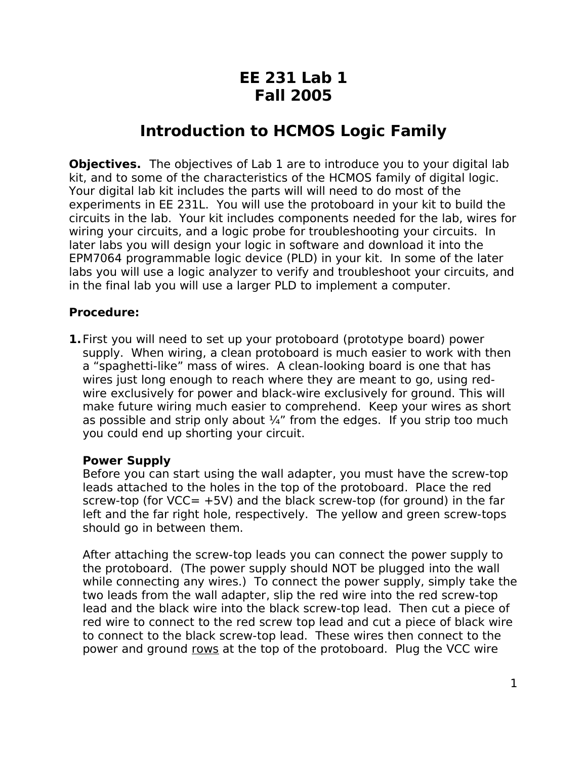## **EE 231 Lab 1 Fall 2005**

## **Introduction to HCMOS Logic Family**

**Objectives.** The objectives of Lab 1 are to introduce you to your digital lab kit, and to some of the characteristics of the HCMOS family of digital logic. Your digital lab kit includes the parts will will need to do most of the experiments in EE 231L. You will use the protoboard in your kit to build the circuits in the lab. Your kit includes components needed for the lab, wires for wiring your circuits, and a logic probe for troubleshooting your circuits. In later labs you will design your logic in software and download it into the EPM7064 programmable logic device (PLD) in your kit. In some of the later labs you will use a logic analyzer to verify and troubleshoot your circuits, and in the final lab you will use a larger PLD to implement a computer.

## **Procedure:**

**1.**First you will need to set up your protoboard (prototype board) power supply. When wiring, a clean protoboard is much easier to work with then a "spaghetti-like" mass of wires. A clean-looking board is one that has wires just long enough to reach where they are meant to go, using redwire exclusively for power and black-wire exclusively for ground. This will make future wiring much easier to comprehend. Keep your wires as short as possible and strip only about  $\frac{1}{4}$ " from the edges. If you strip too much you could end up shorting your circuit.

## **Power Supply**

Before you can start using the wall adapter, you must have the screw-top leads attached to the holes in the top of the protoboard. Place the red screw-top (for  $VCC= +5V$ ) and the black screw-top (for ground) in the far left and the far right hole, respectively. The yellow and green screw-tops should go in between them.

After attaching the screw-top leads you can connect the power supply to the protoboard. (The power supply should NOT be plugged into the wall while connecting any wires.) To connect the power supply, simply take the two leads from the wall adapter, slip the red wire into the red screw-top lead and the black wire into the black screw-top lead. Then cut a piece of red wire to connect to the red screw top lead and cut a piece of black wire to connect to the black screw-top lead. These wires then connect to the power and ground rows at the top of the protoboard. Plug the VCC wire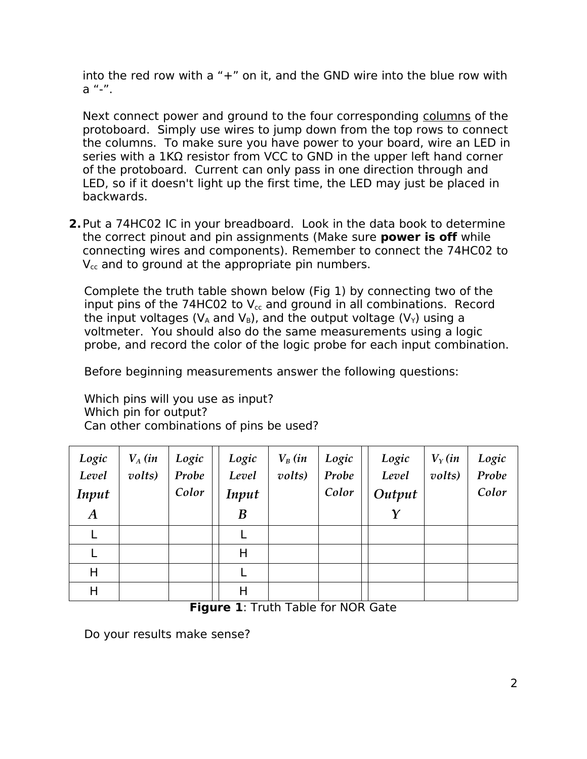into the red row with a "+" on it, and the GND wire into the blue row with a "-".

Next connect power and ground to the four corresponding columns of the protoboard. Simply use wires to jump down from the top rows to connect the columns. To make sure you have power to your board, wire an LED in series with a 1KΩ resistor from VCC to GND in the upper left hand corner of the protoboard. Current can only pass in one direction through and LED, so if it doesn't light up the first time, the LED may just be placed in backwards.

**2.**Put a 74HC02 IC in your breadboard. Look in the data book to determine the correct pinout and pin assignments (Make sure **power is off** while connecting wires and components). Remember to connect the 74HC02 to  $V_{\rm cc}$  and to ground at the appropriate pin numbers.

Complete the truth table shown below (Fig 1) by connecting two of the input pins of the 74HC02 to  $V_{cc}$  and ground in all combinations. Record the input voltages ( $V_A$  and  $V_B$ ), and the output voltage ( $V_Y$ ) using a voltmeter. You should also do the same measurements using a logic probe, and record the color of the logic probe for each input combination.

Before beginning measurements answer the following questions:

Which pins will you use as input? Which pin for output? Can other combinations of pins be used?

| Logic<br>Level<br>Input | $V_A$ (in<br>volts) | Logic<br>Probe<br>Color | Logic<br>Level<br>Input | $V_B$ (in<br>volts) | Logic<br>Probe<br>Color | Logic<br>Level<br>Output | $V_Y$ (in<br>volts) | Logic<br>Probe<br>Color |
|-------------------------|---------------------|-------------------------|-------------------------|---------------------|-------------------------|--------------------------|---------------------|-------------------------|
| $\boldsymbol{A}$        |                     |                         | $\boldsymbol{B}$        |                     |                         | Y                        |                     |                         |
|                         |                     |                         |                         |                     |                         |                          |                     |                         |
|                         |                     |                         | Н                       |                     |                         |                          |                     |                         |
| Η                       |                     |                         |                         |                     |                         |                          |                     |                         |
| Н                       |                     |                         | Н                       |                     |                         |                          |                     |                         |

**Figure 1**: Truth Table for NOR Gate

Do your results make sense?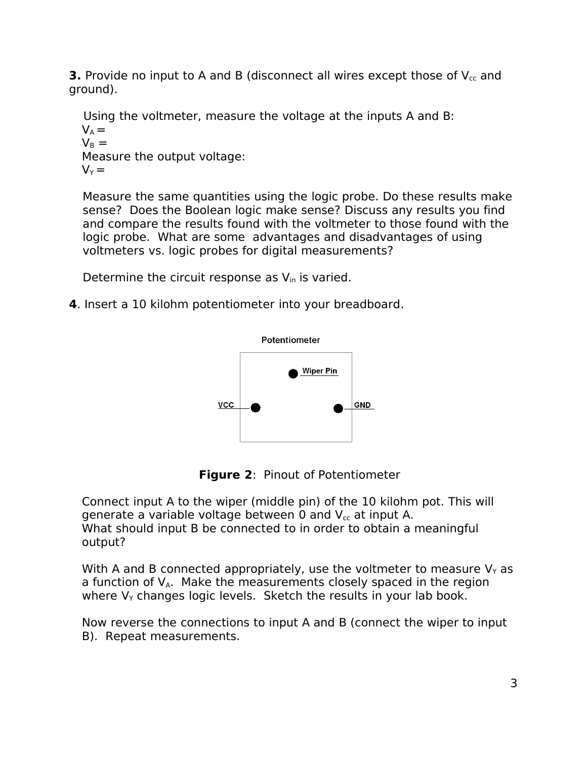**3.** Provide no input to A and B (disconnect all wires except those of  $V_{cc}$  and ground).

Using the voltmeter, measure the voltage at the inputs A and B:

 $V_A =$  $V_{\rm B} =$ Measure the output voltage:  $V_Y =$ 

Measure the same quantities using the logic probe. Do these results make sense? Does the Boolean logic make sense? Discuss any results you find and compare the results found with the voltmeter to those found with the logic probe. What are some advantages and disadvantages of using voltmeters vs. logic probes for digital measurements?

Determine the circuit response as  $V_{in}$  is varied.

**4**. Insert a 10 kilohm potentiometer into your breadboard.





Connect input A to the wiper (middle pin) of the 10 kilohm pot. This will generate a variable voltage between 0 and  $V_{cc}$  at input A. What should input B be connected to in order to obtain a meaningful output?

With A and B connected appropriately, use the voltmeter to measure  $V_Y$  as a function of  $V_{A}$ . Make the measurements closely spaced in the region where  $V<sub>Y</sub>$  changes logic levels. Sketch the results in your lab book.

Now reverse the connections to input A and B (connect the wiper to input B). Repeat measurements.